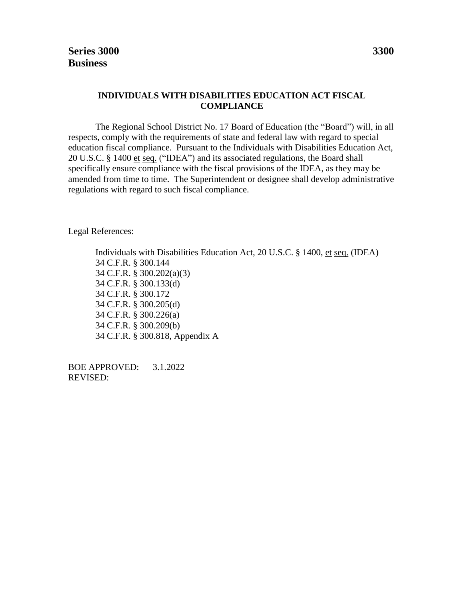### **INDIVIDUALS WITH DISABILITIES EDUCATION ACT FISCAL COMPLIANCE**

The Regional School District No. 17 Board of Education (the "Board") will, in all respects, comply with the requirements of state and federal law with regard to special education fiscal compliance. Pursuant to the Individuals with Disabilities Education Act, 20 U.S.C. § 1400 et seq. ("IDEA") and its associated regulations, the Board shall specifically ensure compliance with the fiscal provisions of the IDEA, as they may be amended from time to time. The Superintendent or designee shall develop administrative regulations with regard to such fiscal compliance.

Legal References:

Individuals with Disabilities Education Act, 20 U.S.C. § 1400, et seq. (IDEA) 34 C.F.R. § 300.144 34 C.F.R. § 300.202(a)(3) 34 C.F.R. § 300.133(d) 34 C.F.R. § 300.172 34 C.F.R. § 300.205(d) 34 C.F.R. § 300.226(a) 34 C.F.R. § 300.209(b) 34 C.F.R. § 300.818, Appendix A

BOE APPROVED: 3.1.2022 REVISED: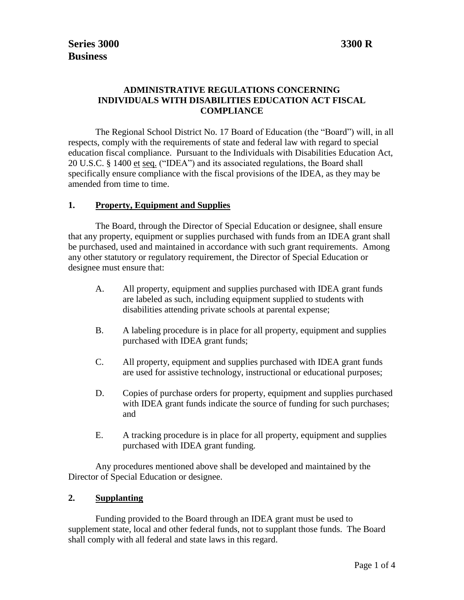# **ADMINISTRATIVE REGULATIONS CONCERNING INDIVIDUALS WITH DISABILITIES EDUCATION ACT FISCAL COMPLIANCE**

The Regional School District No. 17 Board of Education (the "Board") will, in all respects, comply with the requirements of state and federal law with regard to special education fiscal compliance. Pursuant to the Individuals with Disabilities Education Act, 20 U.S.C. § 1400 et seq. ("IDEA") and its associated regulations, the Board shall specifically ensure compliance with the fiscal provisions of the IDEA, as they may be amended from time to time.

### **1. Property, Equipment and Supplies**

The Board, through the Director of Special Education or designee, shall ensure that any property, equipment or supplies purchased with funds from an IDEA grant shall be purchased, used and maintained in accordance with such grant requirements. Among any other statutory or regulatory requirement, the Director of Special Education or designee must ensure that:

- A. All property, equipment and supplies purchased with IDEA grant funds are labeled as such, including equipment supplied to students with disabilities attending private schools at parental expense;
- B. A labeling procedure is in place for all property, equipment and supplies purchased with IDEA grant funds;
- C. All property, equipment and supplies purchased with IDEA grant funds are used for assistive technology, instructional or educational purposes;
- D. Copies of purchase orders for property, equipment and supplies purchased with IDEA grant funds indicate the source of funding for such purchases; and
- E. A tracking procedure is in place for all property, equipment and supplies purchased with IDEA grant funding.

Any procedures mentioned above shall be developed and maintained by the Director of Special Education or designee.

### **2. Supplanting**

Funding provided to the Board through an IDEA grant must be used to supplement state, local and other federal funds, not to supplant those funds. The Board shall comply with all federal and state laws in this regard.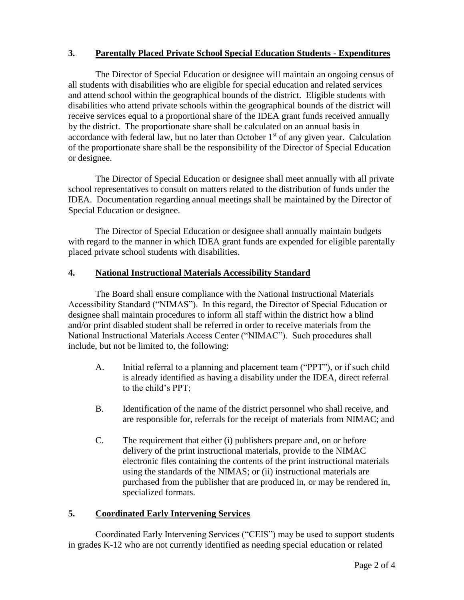# **3. Parentally Placed Private School Special Education Students - Expenditures**

The Director of Special Education or designee will maintain an ongoing census of all students with disabilities who are eligible for special education and related services and attend school within the geographical bounds of the district. Eligible students with disabilities who attend private schools within the geographical bounds of the district will receive services equal to a proportional share of the IDEA grant funds received annually by the district. The proportionate share shall be calculated on an annual basis in accordance with federal law, but no later than October  $1<sup>st</sup>$  of any given year. Calculation of the proportionate share shall be the responsibility of the Director of Special Education or designee.

The Director of Special Education or designee shall meet annually with all private school representatives to consult on matters related to the distribution of funds under the IDEA. Documentation regarding annual meetings shall be maintained by the Director of Special Education or designee.

The Director of Special Education or designee shall annually maintain budgets with regard to the manner in which IDEA grant funds are expended for eligible parentally placed private school students with disabilities.

## **4. National Instructional Materials Accessibility Standard**

The Board shall ensure compliance with the National Instructional Materials Accessibility Standard ("NIMAS"). In this regard, the Director of Special Education or designee shall maintain procedures to inform all staff within the district how a blind and/or print disabled student shall be referred in order to receive materials from the National Instructional Materials Access Center ("NIMAC"). Such procedures shall include, but not be limited to, the following:

- A. Initial referral to a planning and placement team ("PPT"), or if such child is already identified as having a disability under the IDEA, direct referral to the child's PPT;
- B. Identification of the name of the district personnel who shall receive, and are responsible for, referrals for the receipt of materials from NIMAC; and
- C. The requirement that either (i) publishers prepare and, on or before delivery of the print instructional materials, provide to the NIMAC electronic files containing the contents of the print instructional materials using the standards of the NIMAS; or (ii) instructional materials are purchased from the publisher that are produced in, or may be rendered in, specialized formats.

## **5. Coordinated Early Intervening Services**

Coordinated Early Intervening Services ("CEIS") may be used to support students in grades K-12 who are not currently identified as needing special education or related